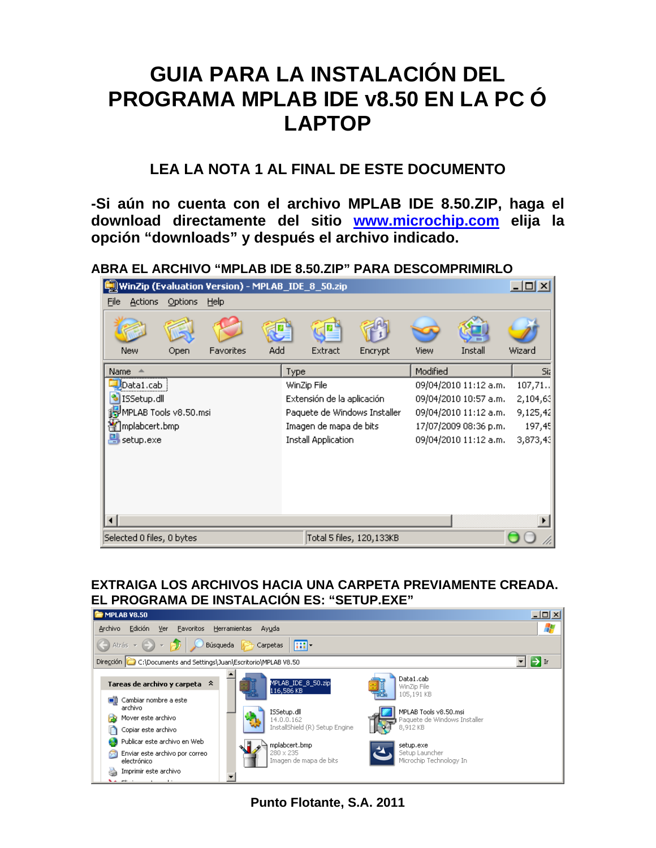# **GUIA PARA LA INSTALACIÓN DEL PROGRAMA MPLAB IDE v8.50 EN LA PC Ó LAPTOP**

## **LEA LA NOTA 1 AL FINAL DE ESTE DOCUMENTO**

**-Si aún no cuenta con el archivo MPLAB IDE 8.50.ZIP, haga el download directamente del sitio [www.microchip.com](http://www.microchip.com/) elija la opción "downloads" y después el archivo indicado.** 

**ABRA EL ARCHIVO "MPLAB IDE 8.50.ZIP" PARA DESCOMPRIMIRLO** 

| WinZip (Evaluation Version) - MPLAB_IDE_8_50.zip |                           |         |                                                       |                        |                            |             | $ \Box$ $\times$         |          |                       |          |
|--------------------------------------------------|---------------------------|---------|-------------------------------------------------------|------------------------|----------------------------|-------------|--------------------------|----------|-----------------------|----------|
| Eile                                             | <b>Actions</b>            | Options | Help                                                  |                        |                            |             |                          |          |                       |          |
|                                                  | New                       | Open    | Favorites                                             | Add                    |                            | Extract     | Encrypt                  | View     | Install               | Wizard   |
| Name                                             |                           |         |                                                       |                        | Type                       |             |                          | Modified |                       | Sia      |
|                                                  | Data1.cab                 |         |                                                       |                        |                            | WinZip File |                          |          | 09/04/2010 11:12 a.m. | 107,71.  |
| ۰                                                | ISSetup.dll               |         |                                                       |                        | Extensión de la aplicación |             |                          |          | 09/04/2010 10:57 a.m. | 2,104,63 |
| MPLAB Tools v8.50.msi                            |                           |         | Paquete de Windows Installer<br>09/04/2010 11:12 a.m. |                        |                            | 9,125,42    |                          |          |                       |          |
| ∰]mplabcert.bmp                                  |                           |         |                                                       | Imagen de mapa de bits |                            |             | 17/07/2009 08:36 p.m.    | 197,45   |                       |          |
| <mark>의</mark> setup.exe                         |                           |         |                                                       | Install Application    |                            |             | 09/04/2010 11:12 a.m.    | 3,873,43 |                       |          |
|                                                  |                           |         |                                                       |                        |                            |             |                          |          |                       |          |
|                                                  | Selected 0 files, 0 bytes |         |                                                       |                        |                            |             | Total 5 files, 120,133KB |          |                       |          |

#### **EXTRAIGA LOS ARCHIVOS HACIA UNA CARPETA PREVIAMENTE CREADA. EL PROGRAMA DE INSTALACIÓN ES: "SETUP.EXE"**



**Punto Flotante, S.A. 2011**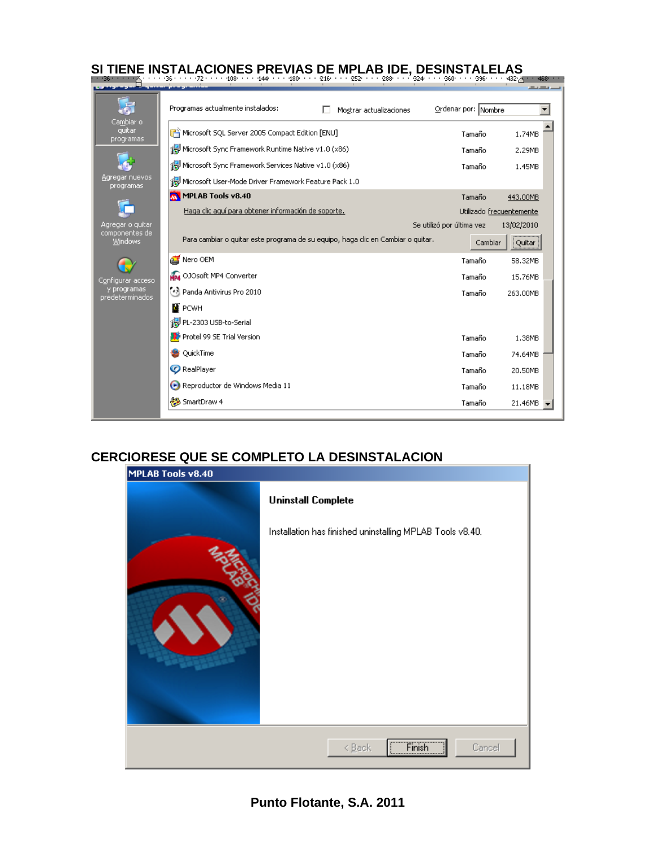| Programas actualmente instalados:                     | Mostrar actualizaciones                                                          | Ordenar por: Nombre       |                          |
|-------------------------------------------------------|----------------------------------------------------------------------------------|---------------------------|--------------------------|
| Microsoft SQL Server 2005 Compact Edition [ENU]       |                                                                                  | Tamaño                    | 1.74MB                   |
| Microsoft Sync Framework Runtime Native v1.0 (x86)    |                                                                                  | Tamaño                    | 2.29MB                   |
| Microsoft Sync Framework Services Native v1.0 (x86)   |                                                                                  | Tamaño                    | 1.45MB                   |
| Microsoft User-Mode Driver Framework Feature Pack 1.0 |                                                                                  |                           |                          |
| MPLAB Tools v8.40                                     |                                                                                  | Tamaño                    | 443.00MB                 |
| Haga clic aquí para obtener información de soporte.   |                                                                                  |                           | Utilizado frecuentemente |
|                                                       |                                                                                  | Se utilizó por última vez | 13/02/2010               |
|                                                       | Para cambiar o quitar este programa de su equipo, haga clic en Cambiar o quitar. | Cambiar                   | Quitar                   |
| Nero OEM                                              |                                                                                  | Tamaño                    | 58.32MB                  |
| NP4 OJOsoft MP4 Converter                             |                                                                                  | Tamaño                    | 15.76MB                  |
| •िशे Panda Antivirus Pro 2010                         |                                                                                  | Tamaño                    | 263.00MB                 |
| м<br><b>PCWH</b>                                      |                                                                                  |                           |                          |
| For PL-2303 USB-to-Serial                             |                                                                                  |                           |                          |
| Protel 99 SE Trial Version                            |                                                                                  | Tamaño                    | 1.38MB                   |
| QuickTime                                             |                                                                                  | Tamaño                    | 74.64MB                  |
| <b>C</b> RealPlayer                                   |                                                                                  | Tamaño                    | 20.50MB                  |
| Reproductor de Windows Media 11                       |                                                                                  | Tamaño                    | 11.18MB                  |
| SmartDraw 4                                           |                                                                                  | Tamaño                    | 21.46MB                  |

## **CERCIORESE QUE SE COMPLETO LA DESINSTALACION**

| MPLAB Tools v8.40 |                                                           |  |  |  |
|-------------------|-----------------------------------------------------------|--|--|--|
|                   | <b>Uninstall Complete</b>                                 |  |  |  |
|                   | Installation has finished uninstalling MPLAB Tools v8.40. |  |  |  |
|                   |                                                           |  |  |  |
|                   |                                                           |  |  |  |
|                   |                                                           |  |  |  |
|                   |                                                           |  |  |  |
|                   |                                                           |  |  |  |
|                   |                                                           |  |  |  |
|                   | Finish<br>$\leq$ Back<br>Cancel                           |  |  |  |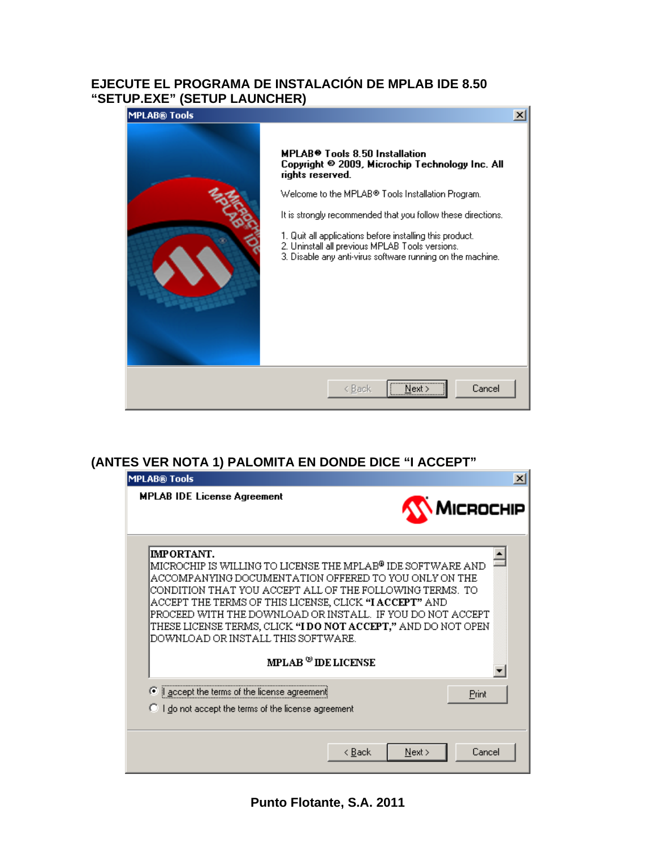#### **EJECUTE EL PROGRAMA DE INSTALACIÓN DE MPLAB IDE 8.50 "SETUP.EXE" (SETUP LAUNCHER)**



## **(ANTES VER NOTA 1) PALOMITA EN DONDE DICE "I ACCEPT"**

| <b>MPLAB® Tools</b>                                                                                                                                                                                                                                                                                                                                                                                                                                                                                 | $\vert x \vert$                    |
|-----------------------------------------------------------------------------------------------------------------------------------------------------------------------------------------------------------------------------------------------------------------------------------------------------------------------------------------------------------------------------------------------------------------------------------------------------------------------------------------------------|------------------------------------|
| <b>MPLAB IDE License Agreement</b>                                                                                                                                                                                                                                                                                                                                                                                                                                                                  | <b>MICROCHIP</b>                   |
| <b>IMPORTANT.</b><br>MICROCHIP IS WILLING TO LICENSE THE MPLAB <sup>®</sup> IDE SOFTWARE AND<br>ACCOMPANYING DOCUMENTATION OFFERED TO YOU ONLY ON THE<br>CONDITION THAT YOU ACCEPT ALL OF THE FOLLOWING TERMS. TO<br>ACCEPT THE TERMS OF THIS LICENSE, CLICK <b>"I ACCEPT"</b> AND<br>PROCEED WITH THE DOWNLOAD OR INSTALL. IF YOU DO NOT ACCEPT<br>THESE LICENSE TERMS, CLICK " <b>I DO NOT ACCEPT,"</b> AND DO NOT OPEN<br>DOWNLOAD OR INSTALL THIS SOFTWARE.<br>$MPLAB$ <sup>®</sup> IDE LICENSE |                                    |
| ⊙ accept the terms of the license agreement<br>C I do not accept the terms of the license agreement                                                                                                                                                                                                                                                                                                                                                                                                 | Print                              |
|                                                                                                                                                                                                                                                                                                                                                                                                                                                                                                     | Cancel<br>< <u>B</u> ack<br>Next > |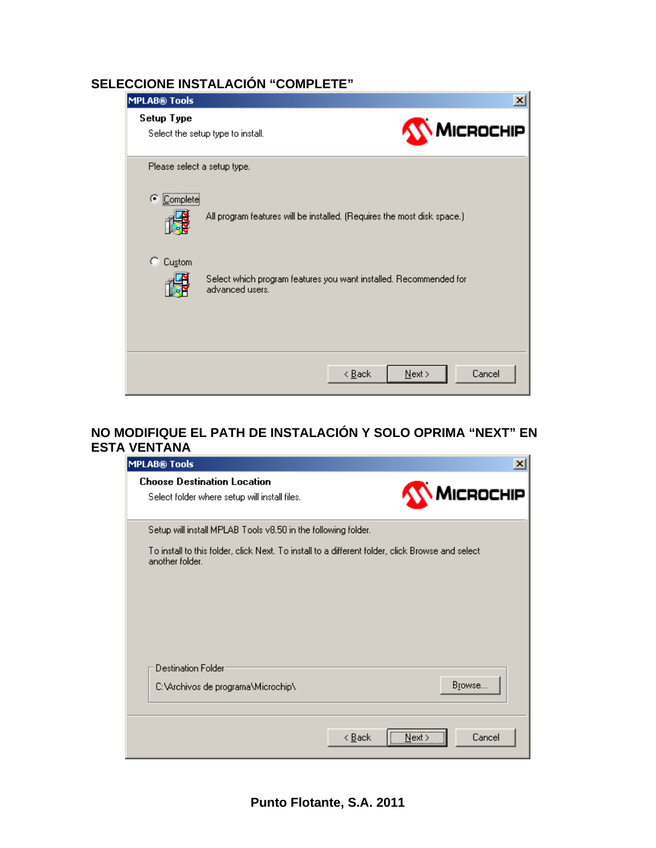## **SELECCIONE INSTALACIÓN "COMPLETE"**

| <b>MPLAB® Tools</b>         |                                                                                      | $\vert x \vert$                       |
|-----------------------------|--------------------------------------------------------------------------------------|---------------------------------------|
| Setup Type                  | Select the setup type to install.                                                    | MICROCHIP                             |
| Please select a setup type. |                                                                                      |                                       |
| G.<br>Complete              | All program features will be installed. (Requires the most disk space.)              |                                       |
| Custom<br>O.                | Select which program features you want installed. Recommended for<br>advanced users. |                                       |
|                             |                                                                                      | Cancel<br>< <u>B</u> ack<br>$N$ ext > |

## **NO MODIFIQUE EL PATH DE INSTALACIÓN Y SOLO OPRIMA "NEXT" EN ESTA VENTANA**

| <b>MPLAB® Tools</b>                                                                                                  | $\times$                           |
|----------------------------------------------------------------------------------------------------------------------|------------------------------------|
| <b>Choose Destination Location</b><br>Select folder where setup will install files.                                  | <b>MICROCHIP</b>                   |
| Setup will install MPLAB Tools v8.50 in the following folder.                                                        |                                    |
| To install to this folder, click Next. To install to a different folder, click Browse and select.<br>another folder. |                                    |
| <b>Destination Folder</b><br>C:\Archivos de programa\Microchip\                                                      | Browse                             |
|                                                                                                                      | Cancel<br>< <u>B</u> ack<br>Next > |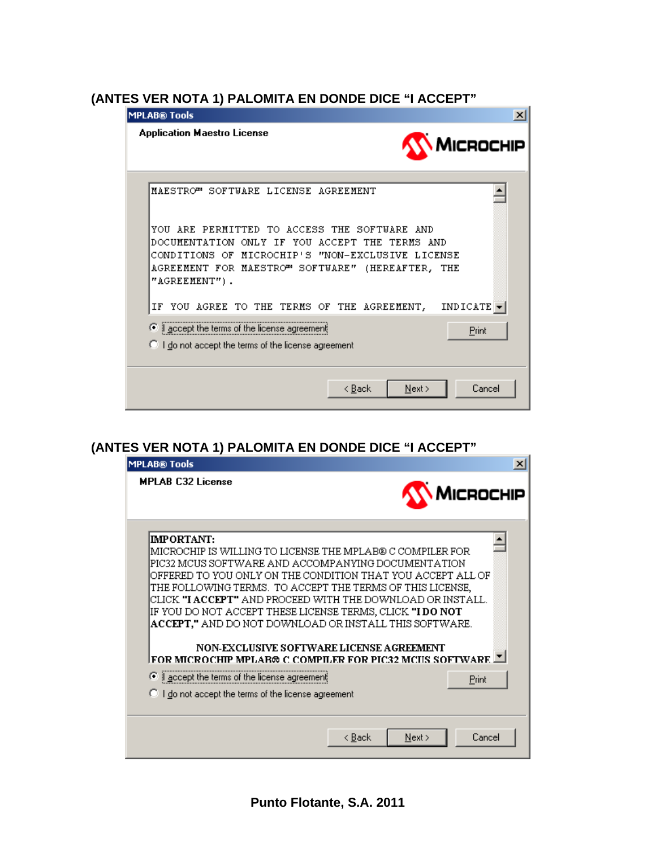#### **(ANTES VER NOTA 1) PALOMITA EN DONDE DICE "I ACCEPT"**

| <b>MPLAB® Tools</b>                                                                                                                                                                                                                                            |
|----------------------------------------------------------------------------------------------------------------------------------------------------------------------------------------------------------------------------------------------------------------|
| <b>Application Maestro License</b><br>MICROCHIP                                                                                                                                                                                                                |
| MAESTRO™ SOFTWARE LICENSE AGREEMENT<br>YOU ARE PERMITTED TO ACCESS THE SOFTWARE AND<br>DOCUMENTATION ONLY IF YOU ACCEPT THE TERMS AND<br>CONDITIONS OF MICROCHIP'S "NON-EXCLUSIVE LICENSE<br>AGREEMENT FOR MAESTRO" SOFTWARE" (HEREAFTER, THE<br>"AGREEMENT"). |
| INDICATE $\blacktriangledown$<br>YOU AGREE TO THE TERMS OF THE AGREEMENT,<br>ΙF<br>accept the terms of the license agreement<br>G<br>Print<br>$\heartsuit$ I do not accept the terms of the license agreement                                                  |
| Cancel<br>< <u>B</u> ack<br>Next                                                                                                                                                                                                                               |

## **(ANTES VER NOTA 1) PALOMITA EN DONDE DICE "I ACCEPT"**

| <b>MPLAB® Tools</b>                                                                                  |  |                  |
|------------------------------------------------------------------------------------------------------|--|------------------|
| <b>MPLAB C32 License</b>                                                                             |  | <b>MICROCHIP</b> |
| <b>IMPORTANT:</b>                                                                                    |  |                  |
| IMICROCHIP IS WILLING TO LICENSE THE MPLAB® C COMPILER FOR                                           |  |                  |
| PIC32 MCUS SOFTWARE AND ACCOMPANYING DOCUMENTATION                                                   |  |                  |
| OFFERED TO YOU ONLY ON THE CONDITION THAT YOU ACCEPT ALL OF                                          |  |                  |
| THE FOLLOWING TERMS. TO ACCEPT THE TERMS OF THIS LICENSE,                                            |  |                  |
| CLICK " <b>I ACCEPT"</b> AND PROCEED WITH THE DOWNLOAD OR INSTALL.                                   |  |                  |
| IF YOU DO NOT ACCEPT THESE LICENSE TERMS, CLICK "I DO NOT                                            |  |                  |
| ACCEPT," AND DO NOT DOWNLOAD OR INSTALL THIS SOFTWARE.                                               |  |                  |
| NON-EXCLUSIVE SOFTWARE LICENSE AGREEMENT<br>FOR MICROCHIP MPLAR® C COMPILER FOR PIC32 MCIIS SOFTWARE |  |                  |
| ⊙ accept the terms of the license agreement                                                          |  | Print            |
| C I do not accept the terms of the license agreement                                                 |  |                  |
|                                                                                                      |  |                  |
|                                                                                                      |  |                  |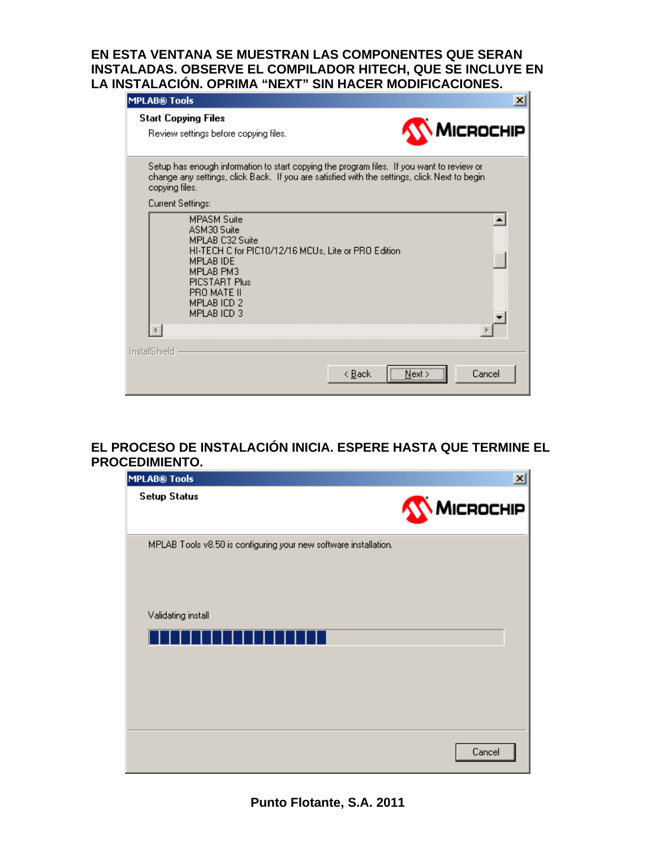#### **EN ESTA VENTANA SE MUESTRAN LAS COMPONENTES QUE SERAN INSTALADAS. OBSERVE EL COMPILADOR HITECH, QUE SE INCLUYE EN LA INSTALACIÓN. OPRIMA "NEXT" SIN HACER MODIFICACIONES.**

| <b>MPLAB® Tools</b>                                                                                                                                                                                               | $\vert x \vert$                    |
|-------------------------------------------------------------------------------------------------------------------------------------------------------------------------------------------------------------------|------------------------------------|
| <b>Start Copying Files</b><br>Review settings before copying files.                                                                                                                                               | MICROCHIP                          |
| Setup has enough information to start copying the program files. If you want to review or<br>change any settings, click Back. If you are satisfied with the settings, click Next to begin<br>copying files.       |                                    |
| Current Settings:                                                                                                                                                                                                 |                                    |
| <b>MPASM Suite</b><br>ASM30 Suite<br>MPLAR C32 Suite<br>HI-TECH C for PIC10/12/16 MCUs, Lite or PRO Edition<br><b>MPLAB IDE</b><br><b>MPLAB PM3</b><br>PICSTART Plus<br>PRO MATE II<br>MPLAB ICD 2<br>MPLAB ICD 3 |                                    |
|                                                                                                                                                                                                                   |                                    |
| <b>InstallShield</b>                                                                                                                                                                                              |                                    |
|                                                                                                                                                                                                                   | Cancel<br>< <u>B</u> ack<br>Next : |

#### **EL PROCESO DE INSTALACIÓN INICIA. ESPERE HASTA QUE TERMINE EL PROCEDIMIENTO.**

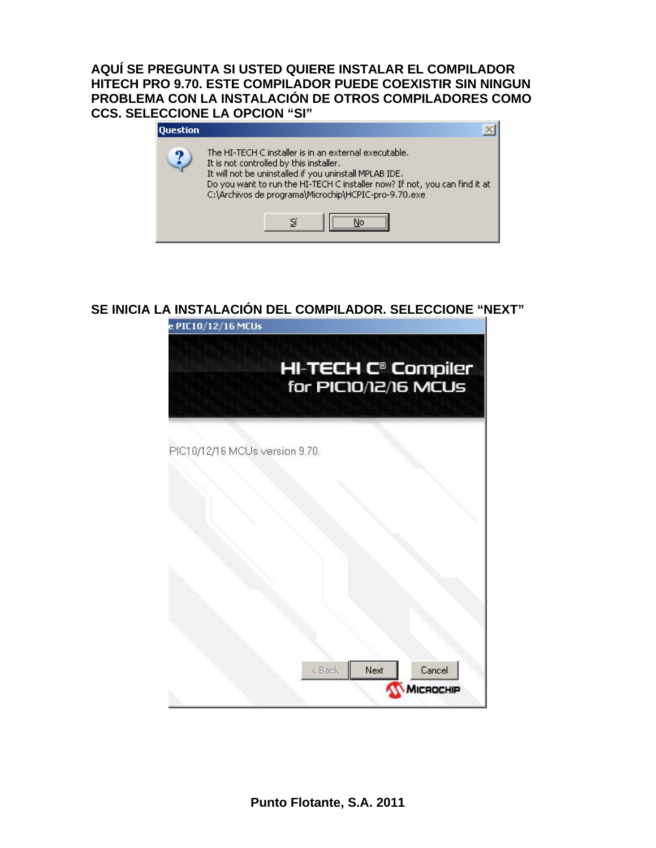**AQUÍ SE PREGUNTA SI USTED QUIERE INSTALAR EL COMPILADOR HITECH PRO 9.70. ESTE COMPILADOR PUEDE COEXISTIR SIN NINGUN PROBLEMA CON LA INSTALACIÓN DE OTROS COMPILADORES COMO CCS. SELECCIONE LA OPCION "SI"** 

| <b>Duestion</b> |                                                                                                                                                                                                                                                                                                  |
|-----------------|--------------------------------------------------------------------------------------------------------------------------------------------------------------------------------------------------------------------------------------------------------------------------------------------------|
|                 | The HI-TECH C installer is in an external executable.<br>It is not controlled by this installer.<br>It will not be uninstalled if you uninstall MPLAB IDE.<br>Do you want to run the HI-TECH C installer now? If not, you can find it at<br>C:\Archivos de programa\Microchip\HCPIC-pro-9.70.exe |
|                 |                                                                                                                                                                                                                                                                                                  |

#### **SE INICIA LA INSTALACIÓN DEL COMPILADOR. SELECCIONE "NEXT"**

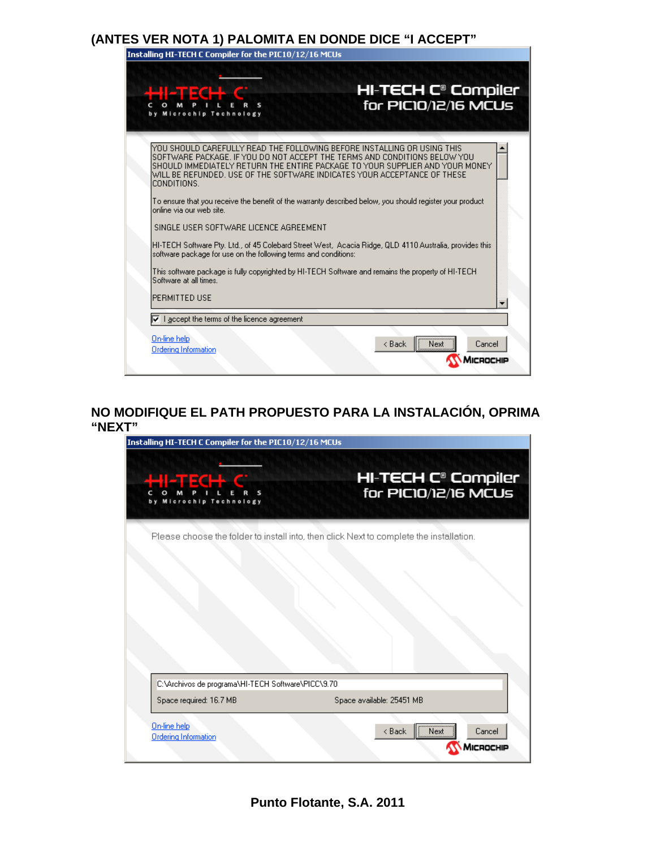## **(ANTES VER NOTA 1) PALOMITA EN DONDE DICE "I ACCEPT"**

| HI-TECH C® Compiler<br>for PIC10/12/16 MCUs                                                                                                                                                                                                                                                                        |  |
|--------------------------------------------------------------------------------------------------------------------------------------------------------------------------------------------------------------------------------------------------------------------------------------------------------------------|--|
|                                                                                                                                                                                                                                                                                                                    |  |
| YOU SHOULD CAREFULLY READ THE FOLLOWING BEFORE INSTALLING OR USING THIS<br>ISOFTWARE PACKAGE. IF YOU DO NOT ACCEPT THE TERMS AND CONDITIONS BELOW YOU<br>ISHOULD IMMEDIATELY RETURN THE ENTIRE PACKAGE TO YOUR SUPPLIER AND YOUR MONEY<br>WILL BE REFUNDED. USE OF THE SOFTWARE INDICATES YOUR ACCEPTANCE OF THESE |  |
| To ensure that you receive the benefit of the warranty described below, you should register your product                                                                                                                                                                                                           |  |
|                                                                                                                                                                                                                                                                                                                    |  |
| HI-TECH Software Pty. Ltd., of 45 Colebard Street West, Acacia Ridge, QLD 4110 Australia, provides this<br>software package for use on the following terms and conditions:                                                                                                                                         |  |
| This software package is fully copyrighted by HI-TECH Software and remains the property of HI-TECH                                                                                                                                                                                                                 |  |
|                                                                                                                                                                                                                                                                                                                    |  |
|                                                                                                                                                                                                                                                                                                                    |  |
|                                                                                                                                                                                                                                                                                                                    |  |

#### **NO MODIFIQUE EL PATH PROPUESTO PARA LA INSTALACIÓN, OPRIMA "NEXT"**

| Installing HI-TECH C Compiler for the PIC10/12/16 MCUs |                                                                                         |  |  |  |
|--------------------------------------------------------|-----------------------------------------------------------------------------------------|--|--|--|
| <b>HECH S</b><br>Microchip Technology                  | <b>HI-TECH C<sup>®</sup> Compiler</b><br>for PIC10/12/16 MCUs                           |  |  |  |
|                                                        | Please choose the folder to install into, then click Next to complete the installation. |  |  |  |
|                                                        |                                                                                         |  |  |  |
|                                                        |                                                                                         |  |  |  |
|                                                        |                                                                                         |  |  |  |
|                                                        |                                                                                         |  |  |  |
| C:\Archivos de programa\HI-TECH Software\PICC\9.70     |                                                                                         |  |  |  |
| Space required: 16.7 MB                                | Space available: 25451 MB                                                               |  |  |  |
| On-line help<br><b>Ordering Information</b>            | $\overline{\overline{\phantom{a}}\phantom{a}}$ Next<br>Cancel<br>< Back                 |  |  |  |
|                                                        | MICROCHIP                                                                               |  |  |  |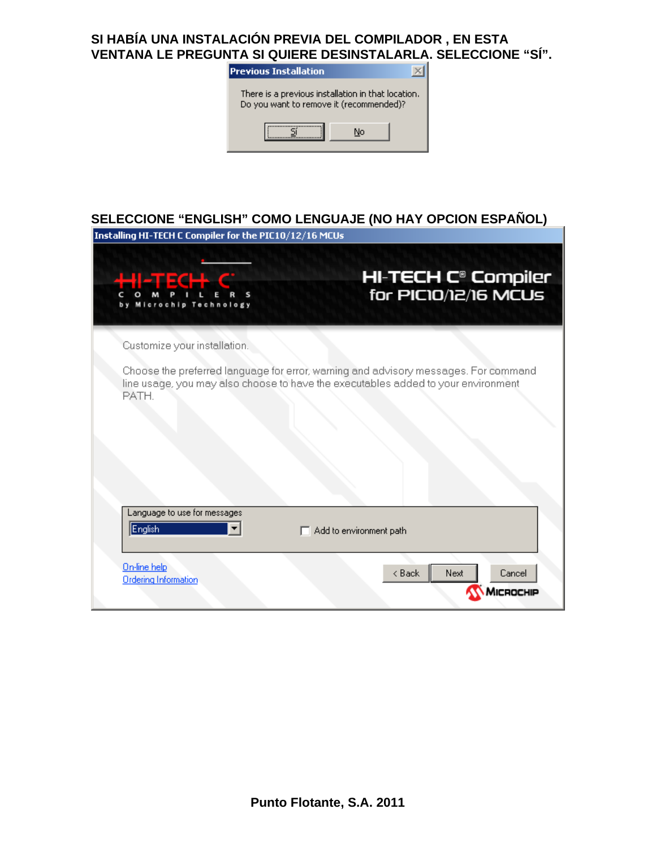#### **SI HABÍA UNA INSTALACIÓN PREVIA DEL COMPILADOR , EN ESTA VENTANA LE PREGUNTA SI QUIERE DESINSTALARLA. SELECCIONE "SÍ".**



## **SELECCIONE "ENGLISH" COMO LENGUAJE (NO HAY OPCION ESPAÑOL)**

| Installing HI-TECH C Compiler for the PIC10/12/16 MCUs                                     |                                                                                     |
|--------------------------------------------------------------------------------------------|-------------------------------------------------------------------------------------|
| HUTECH C<br>Microchip Technology                                                           | <b>HI-TECH C<sup>®</sup> Compiler</b><br>for PIC10/12/16 MCUs                       |
| Customize your installation.                                                               |                                                                                     |
| line usage, you may also choose to have the executables added to your environment<br>PATH. | Choose the preferred language for error, warning and advisory messages. For command |
| Language to use for messages<br>English                                                    | $\Box$ Add to environment path                                                      |
| On-line help<br><b>Ordering Information</b>                                                | < Back<br>Next<br>Cancel<br>ROCHIP                                                  |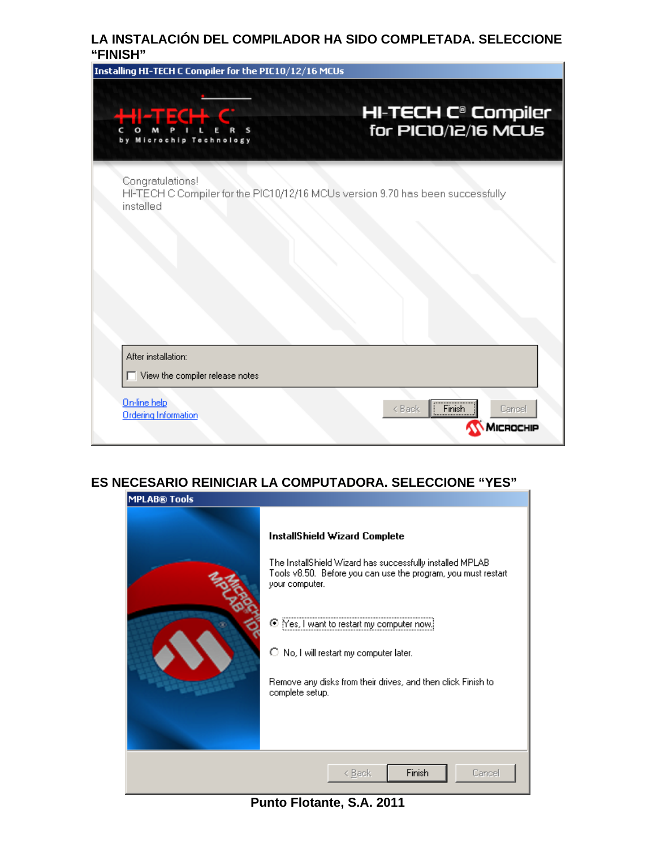#### **LA INSTALACIÓN DEL COMPILADOR HA SIDO COMPLETADA. SELECCIONE "FINISH"**



#### **ES NECESARIO REINICIAR LA COMPUTADORA. SELECCIONE "YES"**



**Punto Flotante, S.A. 2011**